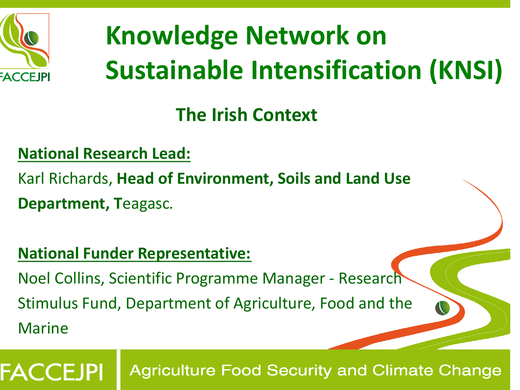

## **Knowledge Network on Sustainable Intensification (KNSI)**

## **The Irish Context**

#### **National Research Lead:**

- Karl Richards, **Head of Environment, Soils and Land Use**
- **Department, T**eagasc*.*

FACCEJPI

#### **National Funder Representative:**

Noel Collins, Scientific Programme Manager - Research

Stimulus Fund, Department of Agriculture, Food and the Marine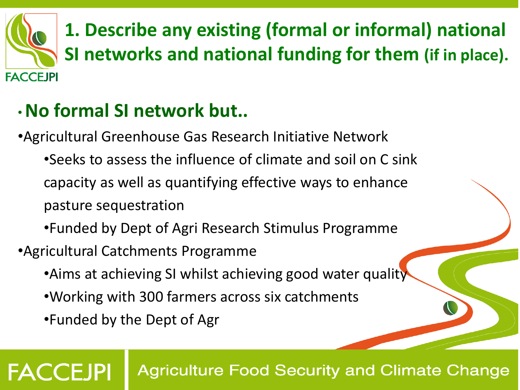

## •**No formal SI network but..**

- •Agricultural Greenhouse Gas Research Initiative Network
	- •Seeks to assess the influence of climate and soil on C sink capacity as well as quantifying effective ways to enhance pasture sequestration
	- •Funded by Dept of Agri Research Stimulus Programme
- •Agricultural Catchments Programme
	- •Aims at achieving SI whilst achieving good water quality
	- •Working with 300 farmers across six catchments
	- •Funded by the Dept of Agr

**FACCEJPI**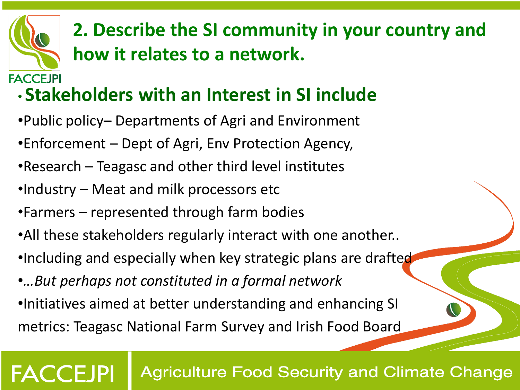# **FACCEJPI**

## **2. Describe the SI community in your country and how it relates to a network.**

## • **Stakeholders with an Interest in SI include**

- •Public policy– Departments of Agri and Environment
- •Enforcement Dept of Agri, Env Protection Agency,
- •Research Teagasc and other third level institutes
- •Industry Meat and milk processors etc
- •Farmers represented through farm bodies
- •All these stakeholders regularly interact with one another..
- •Including and especially when key strategic plans are drafted
- •*…But perhaps not constituted in a formal network*
- •Initiatives aimed at better understanding and enhancing SI metrics: Teagasc National Farm Survey and Irish Food Board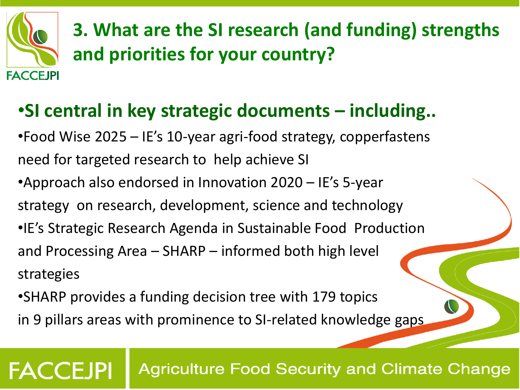

**FACCEJPI** 

**3. What are the SI research (and funding) strengths and priorities for your country?** 

### •**SI central in key strategic documents – including..**

•Food Wise 2025 – IE's 10-year agri-food strategy, copperfastens need for targeted research to help achieve SI

•Approach also endorsed in Innovation 2020 – IE's 5-year strategy on research, development, science and technology •IE's Strategic Research Agenda in Sustainable Food Production

and Processing Area – SHARP – informed both high level strategies

•SHARP provides a funding decision tree with 179 topics in 9 pillars areas with prominence to SI-related knowledge gaps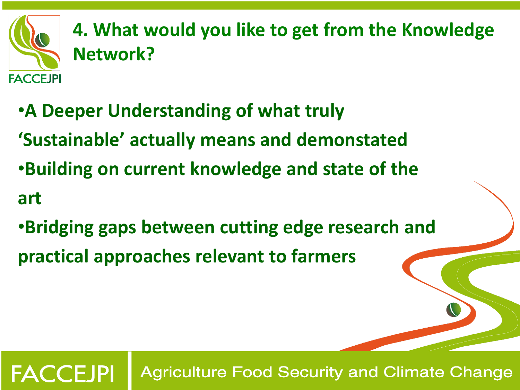

**FACCEJPI** 

**4. What would you like to get from the Knowledge Network?**

- •**A Deeper Understanding of what truly 'Sustainable' actually means and demonstated** •**Building on current knowledge and state of the art**
- •**Bridging gaps between cutting edge research and practical approaches relevant to farmers**